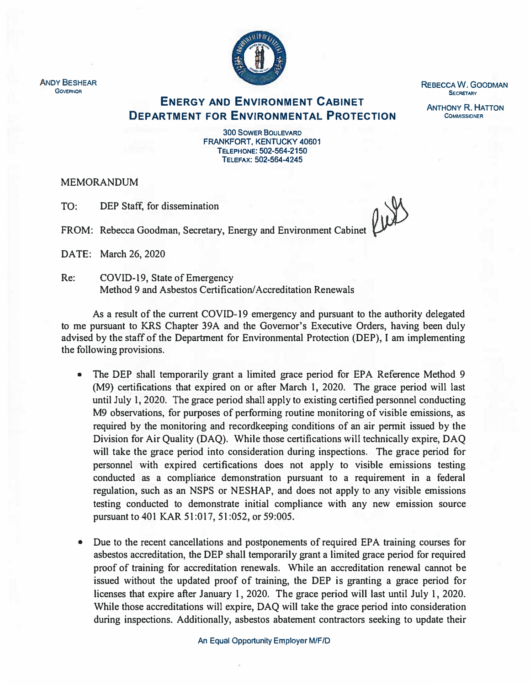

**REBECCA W. GOODMAN SECRETARY** 

**ANTHONY R. HATTON COMMISSIONER** 

**ENERGY AND ENVIRONMENT CABINET DEPARTMENT FOR ENVIRONMENTAL PROTECTION** 

> **300 SOWER BOULEVARD FRANKFORT, KENTUCKY 40601 TELEPHONE: 502-564-2150 TELEFAX: 502-564-4245**

MEMORANDUM

TO: DEP Staff, for dissemination

FROM: Rebecca Goodman, Secretary, Energy and Environment Cabinet

DATE: March 26, 2020

Re: COVID-19, State of Emergency Method 9 and Asbestos Certification/ Accreditation Renewals

As a result of the current COVID-19 emergency and pursuant to the authority delegated to me pursuant to KRS Chapter 39A and the Governor's Executive Orders, having been duly advised by the staff of the Department for Environmental Protection (DEP), I am implementing the following provisions.

- The DEP shall temporarily grant a limited grace period for EPA Reference Method 9 (M9) certifications that expired on or after March 1, 2020. The grace period will last until July 1, 2020. The grace period shall apply to existing certified personnel conducting M9 observations, for purposes of performing routine monitoring of visible emissions, as required by the monitoring and recordkeeping conditions of an air permit issued by the Division for Air Quality (DAQ). While those certifications will technically expire, DAQ will take the grace period into consideration during inspections. The grace period for personnel with expired certifications does not apply to visible emissions testing conducted as a compliance demonstration pursuant to a requirement in a federal regulation, such as an NSPS or NESHAP, and does not apply to any visible emissions testing conducted to demonstrate initial compliance with any new emission source pursuant to 401 KAR 51 :017, 51 :052, or 59:005.
- Due to the recent cancellations and postponements of required EPA training courses for asbestos accreditation, the DEP shall temporarily grant a limited grace period for required proof of training for accreditation renewals. While an accreditation renewal cannot be issued without the updated proof of training, the DEP is granting a grace period for licenses that expire after January 1, 2020. The grace period will last until July l, 2020. While those accreditations will expire, DAQ will take the grace period into consideration during inspections. Additionally, asbestos abatement contractors seeking to update their

**An Equal Opportunity Employer M/F/D** 

**ANDY BESHEAR GOVERNOR**